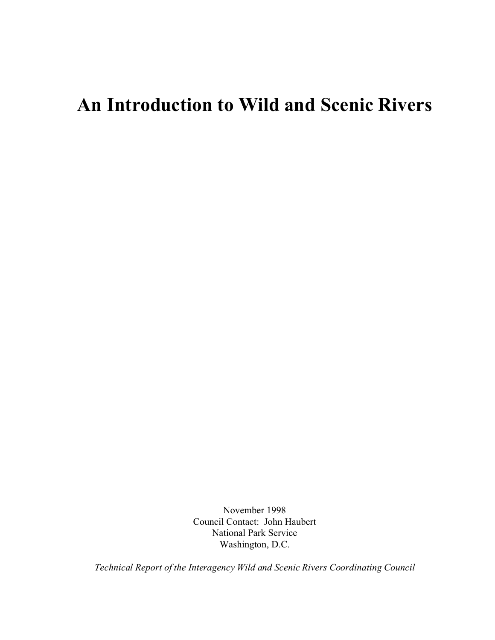## **An Introduction to Wild and Scenic Rivers**

November 1998 Council Contact: John Haubert National Park Service Washington, D.C.

*Technical Report of the Interagency Wild and Scenic Rivers Coordinating Council*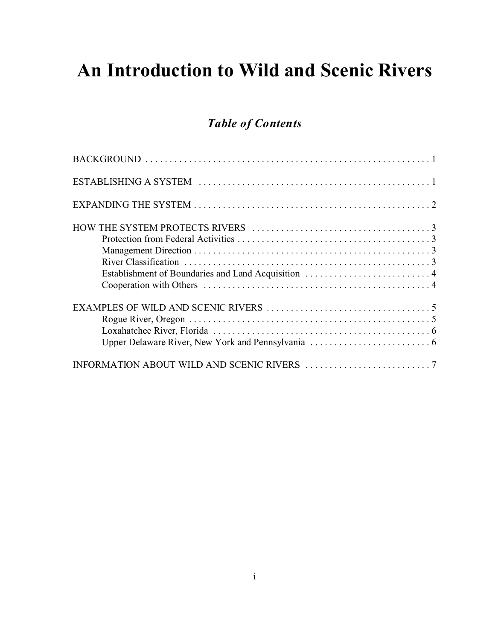# **An Introduction to Wild and Scenic Rivers**

## *Table of Contents*

| Establishment of Boundaries and Land Acquisition  4 |  |
|-----------------------------------------------------|--|
|                                                     |  |
|                                                     |  |
|                                                     |  |
|                                                     |  |
|                                                     |  |
|                                                     |  |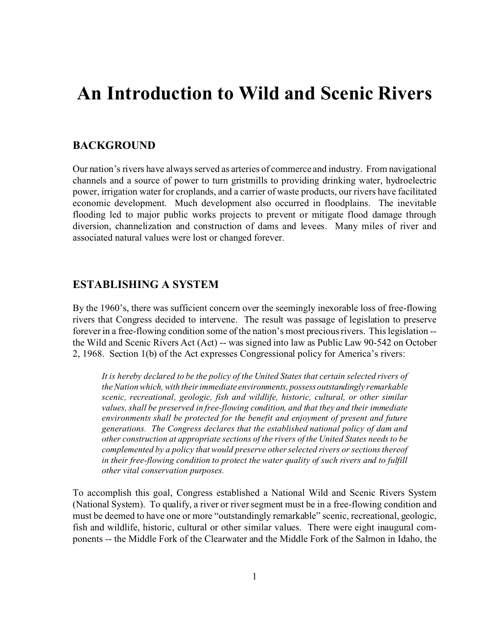## **An Introduction to Wild and Scenic Rivers**

## **BACKGROUND**

Our nation's rivers have always served as arteries of commerce and industry. From navigational channels and a source of power to turn gristmills to providing drinking water, hydroelectric power, irrigation water for croplands, and a carrier of waste products, our rivers have facilitated economic development. Much development also occurred in floodplains. The inevitable flooding led to major public works projects to prevent or mitigate flood damage through diversion, channelization and construction of dams and levees. Many miles of river and associated natural values were lost or changed forever.

### **ESTABLISHING A SYSTEM**

By the 1960's, there was sufficient concern over the seemingly inexorable loss of free-flowing rivers that Congress decided to intervene. The result was passage of legislation to preserve forever in a free-flowing condition some of the nation's most precious rivers. This legislation - the Wild and Scenic Rivers Act (Act) -- was signed into law as Public Law 90-542 on October 2, 1968. Section 1(b) of the Act expresses Congressional policy for America's rivers:

*It is hereby declared to be the policy of the United States that certain selected rivers of the Nation which, with their immediate environments, possess outstandingly remarkable scenic, recreational, geologic, fish and wildlife, historic, cultural, or other similar values, shall be preserved in free-flowing condition, and that they and their immediate environments shall be protected for the benefit and enjoyment of present and future generations. The Congress declares that the established national policy of dam and other construction at appropriate sections of the rivers of the United States needs to be complemented by a policy that would preserve other selected rivers or sections thereof in their free-flowing condition to protect the water quality of such rivers and to fulfill other vital conservation purposes.*

To accomplish this goal, Congress established a National Wild and Scenic Rivers System (National System). To qualify, a river or river segment must be in a free-flowing condition and must be deemed to have one or more "outstandingly remarkable" scenic, recreational, geologic, fish and wildlife, historic, cultural or other similar values. There were eight inaugural components -- the Middle Fork of the Clearwater and the Middle Fork of the Salmon in Idaho, the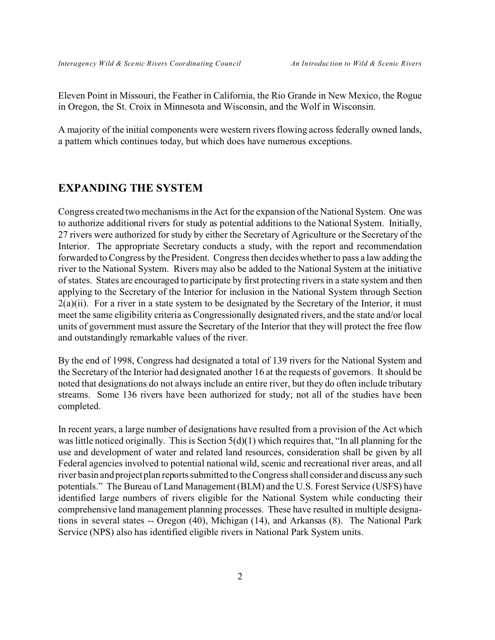Eleven Point in Missouri, the Feather in California, the Rio Grande in New Mexico, the Rogue in Oregon, the St. Croix in Minnesota and Wisconsin, and the Wolf in Wisconsin.

A majority of the initial components were western rivers flowing across federally owned lands, a pattern which continues today, but which does have numerous exceptions.

### **EXPANDING THE SYSTEM**

Congress created two mechanisms in the Act for the expansion of the National System. One was to authorize additional rivers for study as potential additions to the National System. Initially, 27 rivers were authorized for study by either the Secretary of Agriculture or the Secretary of the Interior. The appropriate Secretary conducts a study, with the report and recommendation forwarded to Congress by the President. Congress then decides whether to pass a law adding the river to the National System. Rivers may also be added to the National System at the initiative of states. States are encouraged to participate by first protecting rivers in a state system and then applying to the Secretary of the Interior for inclusion in the National System through Section  $2(a)(ii)$ . For a river in a state system to be designated by the Secretary of the Interior, it must meet the same eligibility criteria as Congressionally designated rivers, and the state and/or local units of government must assure the Secretary of the Interior that they will protect the free flow and outstandingly remarkable values of the river.

By the end of 1998, Congress had designated a total of 139 rivers for the National System and the Secretary of the Interior had designated another 16 at the requests of governors. It should be noted that designations do not always include an entire river, but they do often include tributary streams. Some 136 rivers have been authorized for study; not all of the studies have been completed.

In recent years, a large number of designations have resulted from a provision of the Act which was little noticed originally. This is Section 5(d)(1) which requires that, "In all planning for the use and development of water and related land resources, consideration shall be given by all Federal agencies involved to potential national wild, scenic and recreational river areas, and all river basin and project plan reports submitted to the Congress shall consider and discuss any such potentials." The Bureau of Land Management (BLM) and the U.S. Forest Service (USFS) have identified large numbers of rivers eligible for the National System while conducting their comprehensive land management planning processes. These have resulted in multiple designations in several states -- Oregon (40), Michigan (14), and Arkansas (8). The National Park Service (NPS) also has identified eligible rivers in National Park System units.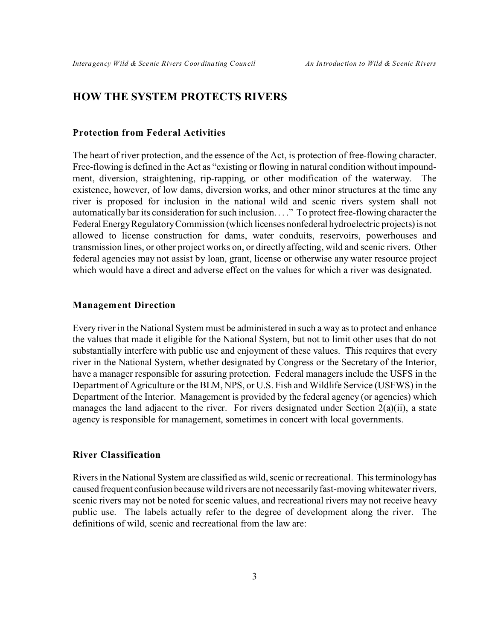### **HOW THE SYSTEM PROTECTS RIVERS**

#### **Protection from Federal Activities**

The heart of river protection, and the essence of the Act, is protection of free-flowing character. Free-flowing is defined in the Act as "existing or flowing in natural condition without impoundment, diversion, straightening, rip-rapping, or other modification of the waterway. The existence, however, of low dams, diversion works, and other minor structures at the time any river is proposed for inclusion in the national wild and scenic rivers system shall not automatically bar its consideration for such inclusion. . . ." To protect free-flowing character the Federal Energy Regulatory Commission (which licenses nonfederal hydroelectric projects) is not allowed to license construction for dams, water conduits, reservoirs, powerhouses and transmission lines, or other project works on, or directly affecting, wild and scenic rivers. Other federal agencies may not assist by loan, grant, license or otherwise any water resource project which would have a direct and adverse effect on the values for which a river was designated.

#### **Management Direction**

Every river in the National System must be administered in such a way as to protect and enhance the values that made it eligible for the National System, but not to limit other uses that do not substantially interfere with public use and enjoyment of these values. This requires that every river in the National System, whether designated by Congress or the Secretary of the Interior, have a manager responsible for assuring protection. Federal managers include the USFS in the Department of Agriculture or the BLM, NPS, or U.S. Fish and Wildlife Service (USFWS) in the Department of the Interior. Management is provided by the federal agency (or agencies) which manages the land adjacent to the river. For rivers designated under Section 2(a)(ii), a state agency is responsible for management, sometimes in concert with local governments.

#### **River Classification**

Rivers in the National System are classified as wild, scenic or recreational. This terminology has caused frequent confusion because wild rivers are not necessarily fast-moving whitewater rivers, scenic rivers may not be noted for scenic values, and recreational rivers may not receive heavy public use. The labels actually refer to the degree of development along the river. The definitions of wild, scenic and recreational from the law are: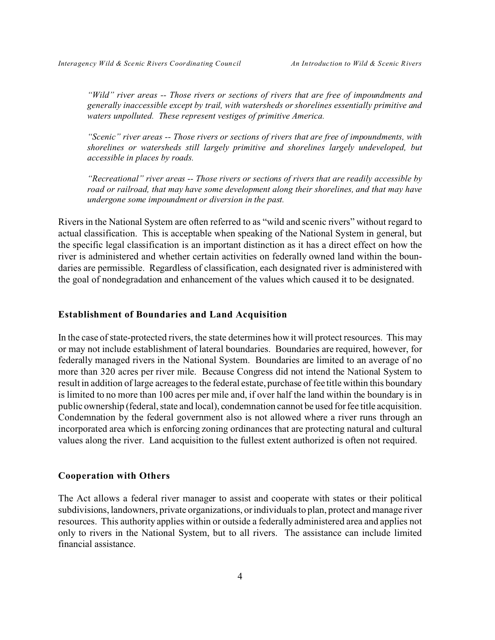*"Wild" river areas -- Those rivers or sections of rivers that are free of impoundments and generally inaccessible except by trail, with watersheds or shorelines essentially primitive and waters unpolluted. These represent vestiges of primitive America.*

*"Scenic" river areas -- Those rivers or sections of rivers that are free of impoundments, with shorelines or watersheds still largely primitive and shorelines largely undeveloped, but accessible in places by roads.*

*"Recreational" river areas -- Those rivers or sections of rivers that are readily accessible by road or railroad, that may have some development along their shorelines, and that may have undergone some impoundment or diversion in the past.*

Rivers in the National System are often referred to as "wild and scenic rivers" without regard to actual classification. This is acceptable when speaking of the National System in general, but the specific legal classification is an important distinction as it has a direct effect on how the river is administered and whether certain activities on federally owned land within the boundaries are permissible. Regardless of classification, each designated river is administered with the goal of nondegradation and enhancement of the values which caused it to be designated.

#### **Establishment of Boundaries and Land Acquisition**

In the case of state-protected rivers, the state determines how it will protect resources. This may or may not include establishment of lateral boundaries. Boundaries are required, however, for federally managed rivers in the National System. Boundaries are limited to an average of no more than 320 acres per river mile. Because Congress did not intend the National System to result in addition of large acreages to the federal estate, purchase of fee title within this boundary is limited to no more than 100 acres per mile and, if over half the land within the boundary is in public ownership (federal, state and local), condemnation cannot be used for fee title acquisition. Condemnation by the federal government also is not allowed where a river runs through an incorporated area which is enforcing zoning ordinances that are protecting natural and cultural values along the river. Land acquisition to the fullest extent authorized is often not required.

#### **Cooperation with Others**

The Act allows a federal river manager to assist and cooperate with states or their political subdivisions, landowners, private organizations, or individuals to plan, protect and manage river resources. This authority applies within or outside a federally administered area and applies not only to rivers in the National System, but to all rivers. The assistance can include limited financial assistance.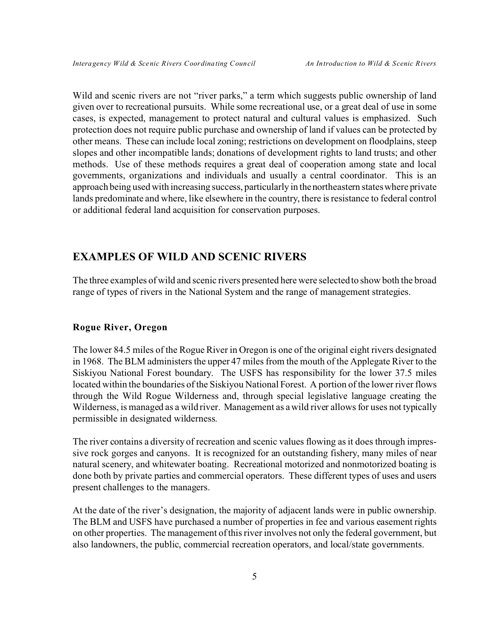Wild and scenic rivers are not "river parks," a term which suggests public ownership of land given over to recreational pursuits. While some recreational use, or a great deal of use in some cases, is expected, management to protect natural and cultural values is emphasized. Such protection does not require public purchase and ownership of land if values can be protected by other means. These can include local zoning; restrictions on development on floodplains, steep slopes and other incompatible lands; donations of development rights to land trusts; and other methods. Use of these methods requires a great deal of cooperation among state and local governments, organizations and individuals and usually a central coordinator. This is an approach being used with increasing success, particularly in the northeastern states where private lands predominate and where, like elsewhere in the country, there is resistance to federal control or additional federal land acquisition for conservation purposes.

## **EXAMPLES OF WILD AND SCENIC RIVERS**

The three examples of wild and scenic rivers presented here were selected to show both the broad range of types of rivers in the National System and the range of management strategies.

#### **Rogue River, Oregon**

The lower 84.5 miles of the Rogue River in Oregon is one of the original eight rivers designated in 1968. The BLM administers the upper 47 miles from the mouth of the Applegate River to the Siskiyou National Forest boundary. The USFS has responsibility for the lower 37.5 miles located within the boundaries of the Siskiyou National Forest. A portion of the lower river flows through the Wild Rogue Wilderness and, through special legislative language creating the Wilderness, is managed as a wild river. Management as a wild river allows for uses not typically permissible in designated wilderness.

The river contains a diversity of recreation and scenic values flowing as it does through impressive rock gorges and canyons. It is recognized for an outstanding fishery, many miles of near natural scenery, and whitewater boating. Recreational motorized and nonmotorized boating is done both by private parties and commercial operators. These different types of uses and users present challenges to the managers.

At the date of the river's designation, the majority of adjacent lands were in public ownership. The BLM and USFS have purchased a number of properties in fee and various easement rights on other properties. The management of this river involves not only the federal government, but also landowners, the public, commercial recreation operators, and local/state governments.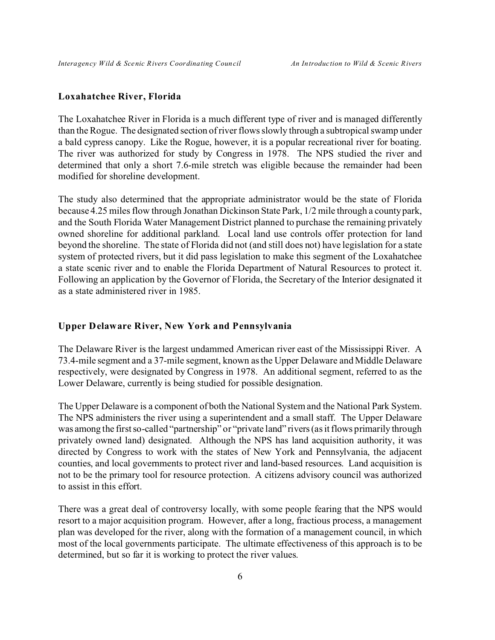#### **Loxahatchee River, Florida**

The Loxahatchee River in Florida is a much different type of river and is managed differently than the Rogue. The designated section of river flows slowly through a subtropical swamp under a bald cypress canopy. Like the Rogue, however, it is a popular recreational river for boating. The river was authorized for study by Congress in 1978. The NPS studied the river and determined that only a short 7.6-mile stretch was eligible because the remainder had been modified for shoreline development.

The study also determined that the appropriate administrator would be the state of Florida because 4.25 miles flow through Jonathan Dickinson State Park, 1/2 mile through a county park, and the South Florida Water Management District planned to purchase the remaining privately owned shoreline for additional parkland. Local land use controls offer protection for land beyond the shoreline. The state of Florida did not (and still does not) have legislation for a state system of protected rivers, but it did pass legislation to make this segment of the Loxahatchee a state scenic river and to enable the Florida Department of Natural Resources to protect it. Following an application by the Governor of Florida, the Secretary of the Interior designated it as a state administered river in 1985.

#### **Upper Delaware River, New York and Pennsylvania**

The Delaware River is the largest undammed American river east of the Mississippi River. A 73.4-mile segment and a 37-mile segment, known as the Upper Delaware and Middle Delaware respectively, were designated by Congress in 1978. An additional segment, referred to as the Lower Delaware, currently is being studied for possible designation.

The Upper Delaware is a component of both the National System and the National Park System. The NPS administers the river using a superintendent and a small staff. The Upper Delaware was among the first so-called "partnership" or "private land" rivers (as it flows primarily through privately owned land) designated. Although the NPS has land acquisition authority, it was directed by Congress to work with the states of New York and Pennsylvania, the adjacent counties, and local governments to protect river and land-based resources. Land acquisition is not to be the primary tool for resource protection. A citizens advisory council was authorized to assist in this effort.

There was a great deal of controversy locally, with some people fearing that the NPS would resort to a major acquisition program. However, after a long, fractious process, a management plan was developed for the river, along with the formation of a management council, in which most of the local governments participate. The ultimate effectiveness of this approach is to be determined, but so far it is working to protect the river values.